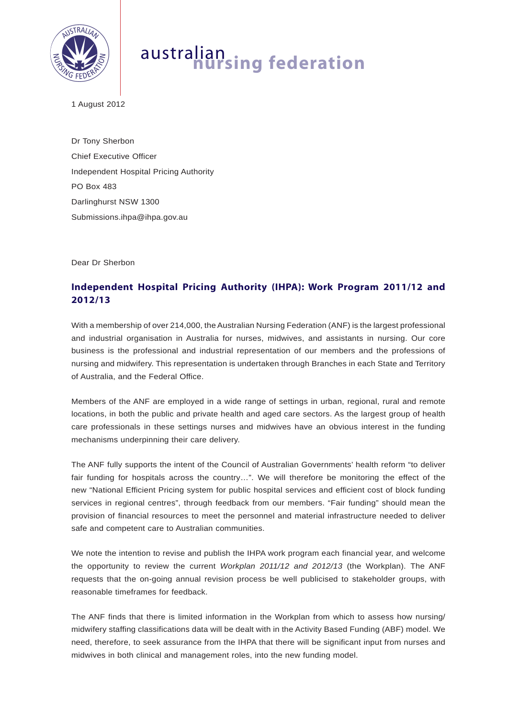

## australian **nursing federation**

1 August 2012

Dr Tony Sherbon Chief Executive Officer Independent Hospital Pricing Authority PO Box 483 Darlinghurst NSW 1300 Submissions.ihpa@ihpa.gov.au

Dear Dr Sherbon

## **Independent Hospital Pricing Authority (IHPA): Work Program 2011/12 and 2012/13**

With a membership of over 214,000, the Australian Nursing Federation (ANF) is the largest professional and industrial organisation in Australia for nurses, midwives, and assistants in nursing. Our core business is the professional and industrial representation of our members and the professions of nursing and midwifery. This representation is undertaken through Branches in each State and Territory of Australia, and the Federal Office.

Members of the ANF are employed in a wide range of settings in urban, regional, rural and remote locations, in both the public and private health and aged care sectors. As the largest group of health care professionals in these settings nurses and midwives have an obvious interest in the funding mechanisms underpinning their care delivery.

The ANF fully supports the intent of the Council of Australian Governments' health reform "to deliver fair funding for hospitals across the country…". We will therefore be monitoring the effect of the new "National Efficient Pricing system for public hospital services and efficient cost of block funding services in regional centres", through feedback from our members. "Fair funding" should mean the provision of financial resources to meet the personnel and material infrastructure needed to deliver safe and competent care to Australian communities.

We note the intention to revise and publish the IHPA work program each financial year, and welcome the opportunity to review the current *Workplan 2011/12 and 2012/13* (the Workplan). The ANF requests that the on-going annual revision process be well publicised to stakeholder groups, with reasonable timeframes for feedback.

The ANF finds that there is limited information in the Workplan from which to assess how nursing/ midwifery staffing classifications data will be dealt with in the Activity Based Funding (ABF) model. We need, therefore, to seek assurance from the IHPA that there will be significant input from nurses and midwives in both clinical and management roles, into the new funding model.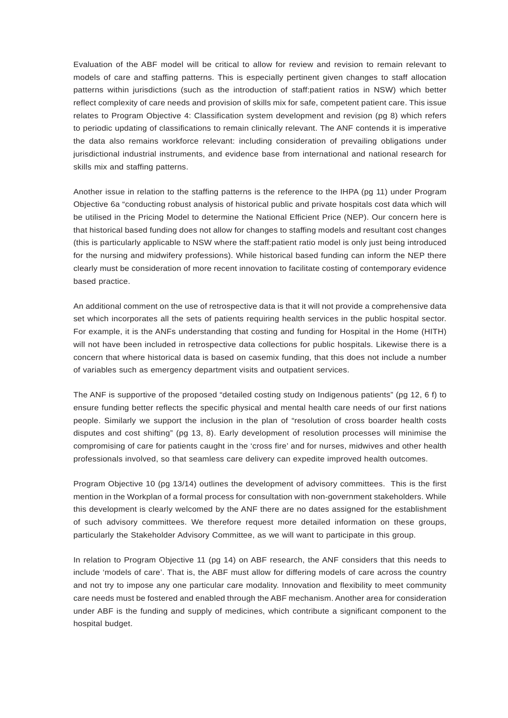Evaluation of the ABF model will be critical to allow for review and revision to remain relevant to models of care and staffing patterns. This is especially pertinent given changes to staff allocation patterns within jurisdictions (such as the introduction of staff:patient ratios in NSW) which better reflect complexity of care needs and provision of skills mix for safe, competent patient care. This issue relates to Program Objective 4: Classification system development and revision (pg 8) which refers to periodic updating of classifications to remain clinically relevant. The ANF contends it is imperative the data also remains workforce relevant: including consideration of prevailing obligations under jurisdictional industrial instruments, and evidence base from international and national research for skills mix and staffing patterns.

Another issue in relation to the staffing patterns is the reference to the IHPA (pg 11) under Program Objective 6a "conducting robust analysis of historical public and private hospitals cost data which will be utilised in the Pricing Model to determine the National Efficient Price (NEP). Our concern here is that historical based funding does not allow for changes to staffing models and resultant cost changes (this is particularly applicable to NSW where the staff:patient ratio model is only just being introduced for the nursing and midwifery professions). While historical based funding can inform the NEP there clearly must be consideration of more recent innovation to facilitate costing of contemporary evidence based practice.

An additional comment on the use of retrospective data is that it will not provide a comprehensive data set which incorporates all the sets of patients requiring health services in the public hospital sector. For example, it is the ANFs understanding that costing and funding for Hospital in the Home (HITH) will not have been included in retrospective data collections for public hospitals. Likewise there is a concern that where historical data is based on casemix funding, that this does not include a number of variables such as emergency department visits and outpatient services.

The ANF is supportive of the proposed "detailed costing study on Indigenous patients" (pg 12, 6 f) to ensure funding better reflects the specific physical and mental health care needs of our first nations people. Similarly we support the inclusion in the plan of "resolution of cross boarder health costs disputes and cost shifting" (pg 13, 8). Early development of resolution processes will minimise the compromising of care for patients caught in the 'cross fire' and for nurses, midwives and other health professionals involved, so that seamless care delivery can expedite improved health outcomes.

Program Objective 10 (pg 13/14) outlines the development of advisory committees. This is the first mention in the Workplan of a formal process for consultation with non-government stakeholders. While this development is clearly welcomed by the ANF there are no dates assigned for the establishment of such advisory committees. We therefore request more detailed information on these groups, particularly the Stakeholder Advisory Committee, as we will want to participate in this group.

In relation to Program Objective 11 (pg 14) on ABF research, the ANF considers that this needs to include 'models of care'. That is, the ABF must allow for differing models of care across the country and not try to impose any one particular care modality. Innovation and flexibility to meet community care needs must be fostered and enabled through the ABF mechanism. Another area for consideration under ABF is the funding and supply of medicines, which contribute a significant component to the hospital budget.